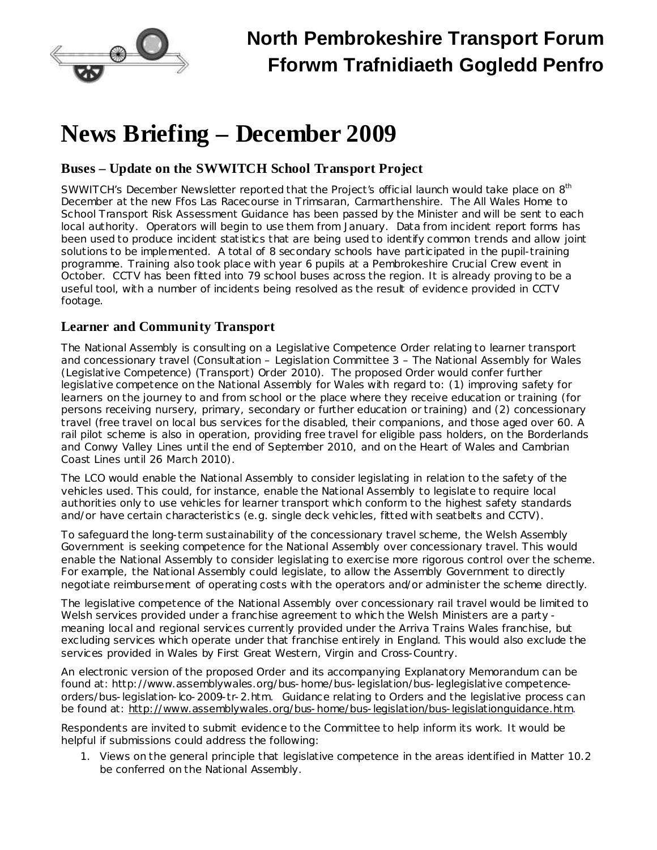

# **News Briefing – December 2009**

## **Buses – Update on the SWWITCH School Transport Project**

SWWITCH's December Newsletter reported that the Project's official launch would take place on 8<sup>th</sup> December at the new Ffos Las Racecourse in Trimsaran, Carmarthenshire. The All Wales Home to School Transport Risk Assessment Guidance has been passed by the Minister and will be sent to each local authority. Operators will begin to use them from January. Data from incident report forms has been used to produce incident statistics that are being used to identify common trends and allow joint solutions to be implemented. A total of 8 secondary schools have participated in the pupil-training programme. Training also took place with year 6 pupils at a Pembrokeshire Crucial Crew event in October. CCTV has been fitted into 79 school buses across the region. It is already proving to be a useful tool, with a number of incidents being resolved as the result of evidence provided in CCTV footage.

### **Learner and Community Transport**

The National Assembly is consulting on a Legislative Competence Order relating to learner transport and concessionary travel (Consultation – Legislation Committee 3 – *The National Assembly for Wales (Legislative Competence) (Transport) Order 2010)*. The proposed Order would confer further legislative competence on the National Assembly for Wales with regard to: (1) improving safety for learners on the journey to and from school or the place where they receive education or training (for persons receiving nursery, primary, secondary or further education or training) and (2) concessionary travel (free travel on local bus services for the disabled, their companions, and those aged over 60. A rail pilot scheme is also in operation, providing free travel for eligible pass holders, on the Borderlands and Conwy Valley Lines until the end of September 2010, and on the Heart of Wales and Cambrian Coast Lines until 26 March 2010).

The LCO would enable the National Assembly to consider legislating in relation to the safety of the vehicles used. This could, for instance, enable the National Assembly to legislate to require local authorities only to use vehicles for learner transport which conform to the highest safety standards and/or have certain characteristics (e.g. single deck vehicles, fitted with seatbelts and CCTV).

To safeguard the long-term sustainability of the concessionary travel scheme, the Welsh Assembly Government is seeking competence for the National Assembly over concessionary travel. This would enable the National Assembly to consider legislating to exercise more rigorous control over the scheme. For example, the National Assembly could legislate, to allow the Assembly Government to directly negotiate reimbursement of operating costs with the operators and/or administer the scheme directly.

The legislative competence of the National Assembly over concessionary rail travel would be limited to Welsh services provided under a franchise agreement to which the Welsh Ministers are a party meaning local and regional services currently provided under the Arriva Trains Wales franchise, but excluding services which operate under that franchise entirely in England. This would also exclude the services provided in Wales by First Great Western, Virgin and Cross-Country.

An electronic version of the proposed Order and its accompanying Explanatory Memorandum can be found at: [http://www.assemblywales.org/bus-home/bus-legislation/bus-leglegislative](http://www.assemblywales.org/bus-home/bus-legislation/bus-leglegislative competence-orders/bus-legislation-lco-2009-tr-2.htm) competenc[e](http://www.assemblywales.org/bus-home/bus-legislation/bus-leglegislative competence-orders/bus-legislation-lco-2009-tr-2.htm)[orders/bus-legislation-lco-2009-tr-2.htm.](http://www.assemblywales.org/bus-home/bus-legislation/bus-leglegislative competence-orders/bus-legislation-lco-2009-tr-2.htm) Guidance relating to Orders and the legislative process can be found at: http://www.assemblywales.org/bus-home/bus-legislation/bus-legislationguidance.htm.

Respondents are invited to submit evidence to the Committee to help inform its work. It would be helpful if submissions could address the following:

1. Views on the general principle that legislative competence in the areas identified in Matter 10.2 be conferred on the National Assembly.